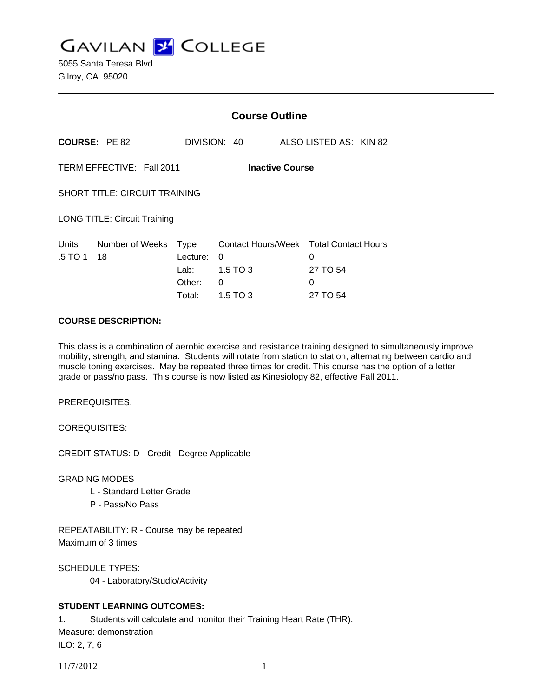**GAVILAN J COLLEGE** 

|                                                     |                       | <b>Course Outline</b>                               |                                                        |  |                                                              |  |
|-----------------------------------------------------|-----------------------|-----------------------------------------------------|--------------------------------------------------------|--|--------------------------------------------------------------|--|
|                                                     | <b>COURSE: PE 82</b>  |                                                     | DIVISION: 40                                           |  | ALSO LISTED AS: KIN 82                                       |  |
| TERM EFFECTIVE: Fall 2011<br><b>Inactive Course</b> |                       |                                                     |                                                        |  |                                                              |  |
| <b>SHORT TITLE: CIRCUIT TRAINING</b>                |                       |                                                     |                                                        |  |                                                              |  |
| <b>LONG TITLE: Circuit Training</b>                 |                       |                                                     |                                                        |  |                                                              |  |
| Units<br>.5 TO 1                                    | Number of Weeks<br>18 | <b>Type</b><br>Lecture:<br>Lab:<br>Other:<br>Total: | Contact Hours/Week<br>0<br>$1.5$ TO 3<br>0<br>1.5 TO 3 |  | <b>Total Contact Hours</b><br>0<br>27 TO 54<br>0<br>27 TO 54 |  |

#### **COURSE DESCRIPTION:**

This class is a combination of aerobic exercise and resistance training designed to simultaneously improve mobility, strength, and stamina. Students will rotate from station to station, alternating between cardio and muscle toning exercises. May be repeated three times for credit. This course has the option of a letter grade or pass/no pass. This course is now listed as Kinesiology 82, effective Fall 2011.

PREREQUISITES:

COREQUISITES:

CREDIT STATUS: D - Credit - Degree Applicable

GRADING MODES

- L Standard Letter Grade
- P Pass/No Pass

REPEATABILITY: R - Course may be repeated Maximum of 3 times

SCHEDULE TYPES:

04 - Laboratory/Studio/Activity

## **STUDENT LEARNING OUTCOMES:**

1. Students will calculate and monitor their Training Heart Rate (THR). Measure: demonstration ILO: 2, 7, 6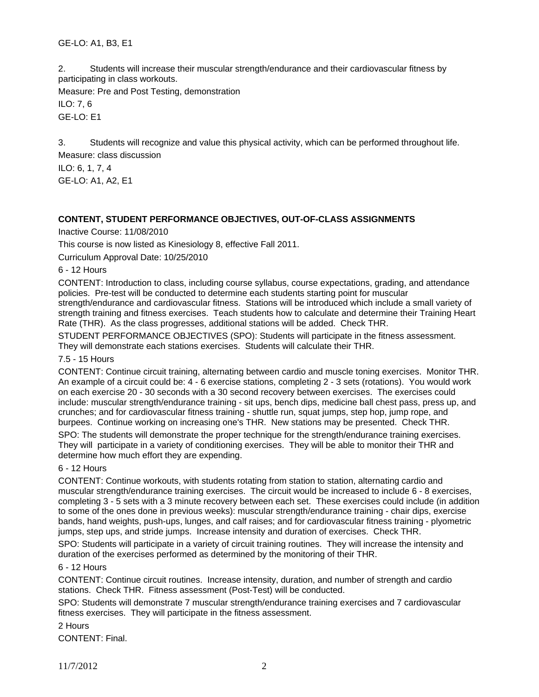2. Students will increase their muscular strength/endurance and their cardiovascular fitness by participating in class workouts.

Measure: Pre and Post Testing, demonstration ILO: 7, 6

GE-LO: E1

3. Students will recognize and value this physical activity, which can be performed throughout life. Measure: class discussion

ILO: 6, 1, 7, 4 GE-LO: A1, A2, E1

## **CONTENT, STUDENT PERFORMANCE OBJECTIVES, OUT-OF-CLASS ASSIGNMENTS**

Inactive Course: 11/08/2010

This course is now listed as Kinesiology 8, effective Fall 2011.

Curriculum Approval Date: 10/25/2010

6 - 12 Hours

CONTENT: Introduction to class, including course syllabus, course expectations, grading, and attendance policies. Pre-test will be conducted to determine each students starting point for muscular strength/endurance and cardiovascular fitness. Stations will be introduced which include a small variety of strength training and fitness exercises. Teach students how to calculate and determine their Training Heart Rate (THR). As the class progresses, additional stations will be added. Check THR.

STUDENT PERFORMANCE OBJECTIVES (SPO): Students will participate in the fitness assessment. They will demonstrate each stations exercises. Students will calculate their THR.

7.5 - 15 Hours

CONTENT: Continue circuit training, alternating between cardio and muscle toning exercises. Monitor THR. An example of a circuit could be: 4 - 6 exercise stations, completing 2 - 3 sets (rotations). You would work on each exercise 20 - 30 seconds with a 30 second recovery between exercises. The exercises could include: muscular strength/endurance training - sit ups, bench dips, medicine ball chest pass, press up, and crunches; and for cardiovascular fitness training - shuttle run, squat jumps, step hop, jump rope, and burpees. Continue working on increasing one's THR. New stations may be presented. Check THR.

SPO: The students will demonstrate the proper technique for the strength/endurance training exercises. They will participate in a variety of conditioning exercises. They will be able to monitor their THR and determine how much effort they are expending.

#### 6 - 12 Hours

CONTENT: Continue workouts, with students rotating from station to station, alternating cardio and muscular strength/endurance training exercises. The circuit would be increased to include 6 - 8 exercises, completing 3 - 5 sets with a 3 minute recovery between each set. These exercises could include (in addition to some of the ones done in previous weeks): muscular strength/endurance training - chair dips, exercise bands, hand weights, push-ups, lunges, and calf raises; and for cardiovascular fitness training - plyometric jumps, step ups, and stride jumps. Increase intensity and duration of exercises. Check THR.

SPO: Students will participate in a variety of circuit training routines. They will increase the intensity and duration of the exercises performed as determined by the monitoring of their THR.

#### 6 - 12 Hours

CONTENT: Continue circuit routines. Increase intensity, duration, and number of strength and cardio stations. Check THR. Fitness assessment (Post-Test) will be conducted.

SPO: Students will demonstrate 7 muscular strength/endurance training exercises and 7 cardiovascular fitness exercises. They will participate in the fitness assessment.

2 Hours

CONTENT: Final.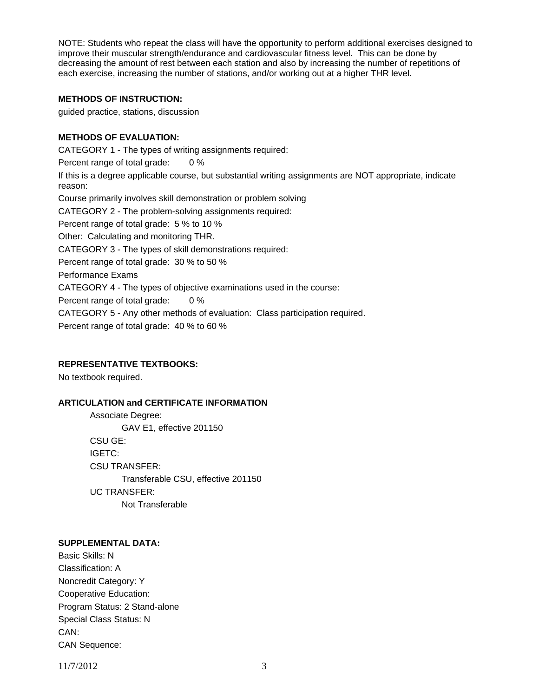NOTE: Students who repeat the class will have the opportunity to perform additional exercises designed to improve their muscular strength/endurance and cardiovascular fitness level. This can be done by decreasing the amount of rest between each station and also by increasing the number of repetitions of each exercise, increasing the number of stations, and/or working out at a higher THR level.

## **METHODS OF INSTRUCTION:**

guided practice, stations, discussion

# **METHODS OF EVALUATION:**

CATEGORY 1 - The types of writing assignments required: Percent range of total grade: 0 % If this is a degree applicable course, but substantial writing assignments are NOT appropriate, indicate reason: Course primarily involves skill demonstration or problem solving CATEGORY 2 - The problem-solving assignments required: Percent range of total grade: 5 % to 10 % Other: Calculating and monitoring THR. CATEGORY 3 - The types of skill demonstrations required: Percent range of total grade: 30 % to 50 % Performance Exams CATEGORY 4 - The types of objective examinations used in the course: Percent range of total grade: 0 % CATEGORY 5 - Any other methods of evaluation: Class participation required. Percent range of total grade: 40 % to 60 %

## **REPRESENTATIVE TEXTBOOKS:**

No textbook required.

## **ARTICULATION and CERTIFICATE INFORMATION**

 Associate Degree: GAV E1, effective 201150 CSU GE: IGETC: CSU TRANSFER: Transferable CSU, effective 201150 UC TRANSFER: Not Transferable

## **SUPPLEMENTAL DATA:**

Basic Skills: N Classification: A Noncredit Category: Y Cooperative Education: Program Status: 2 Stand-alone Special Class Status: N CAN: CAN Sequence:

11/7/2012 3